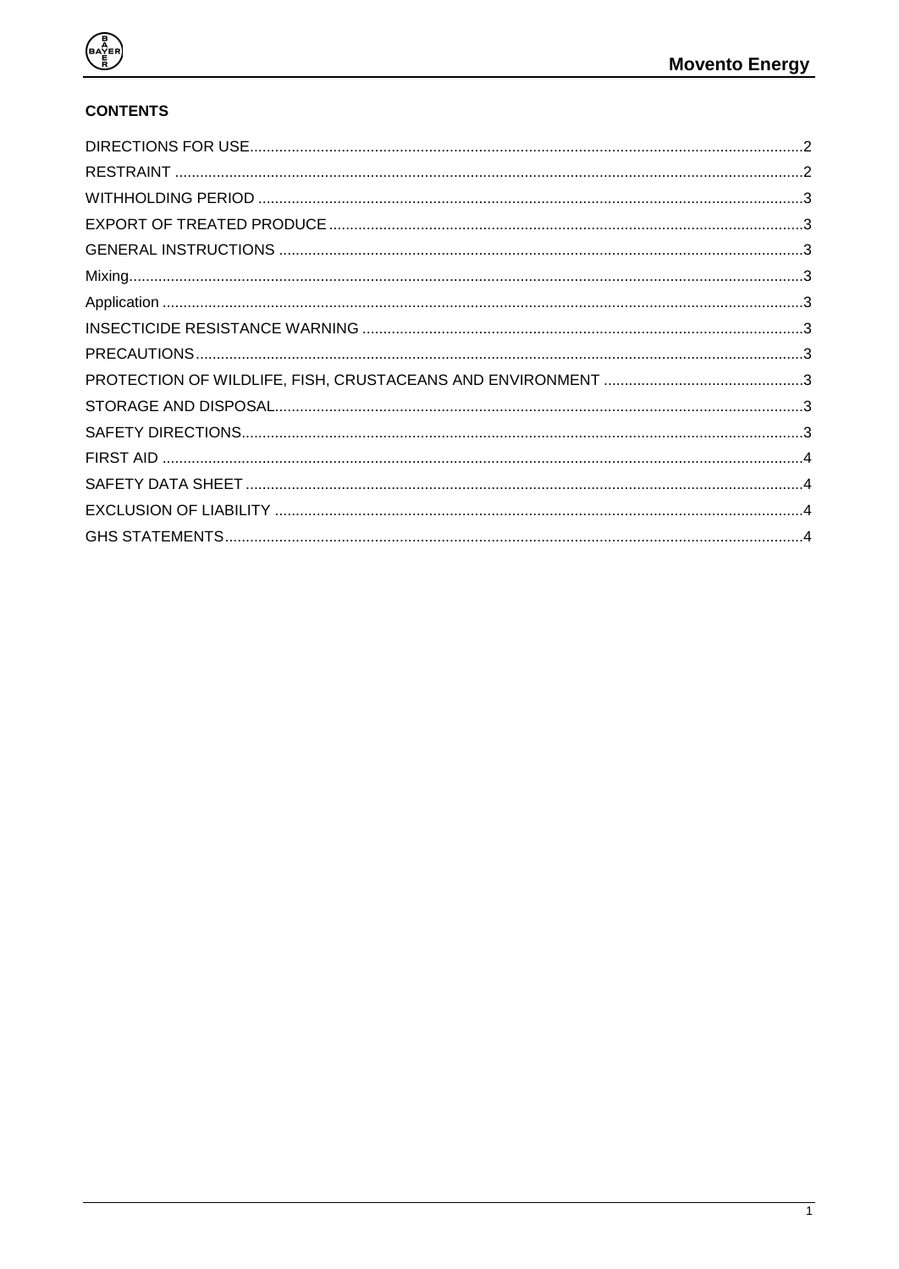

## **CONTENTS**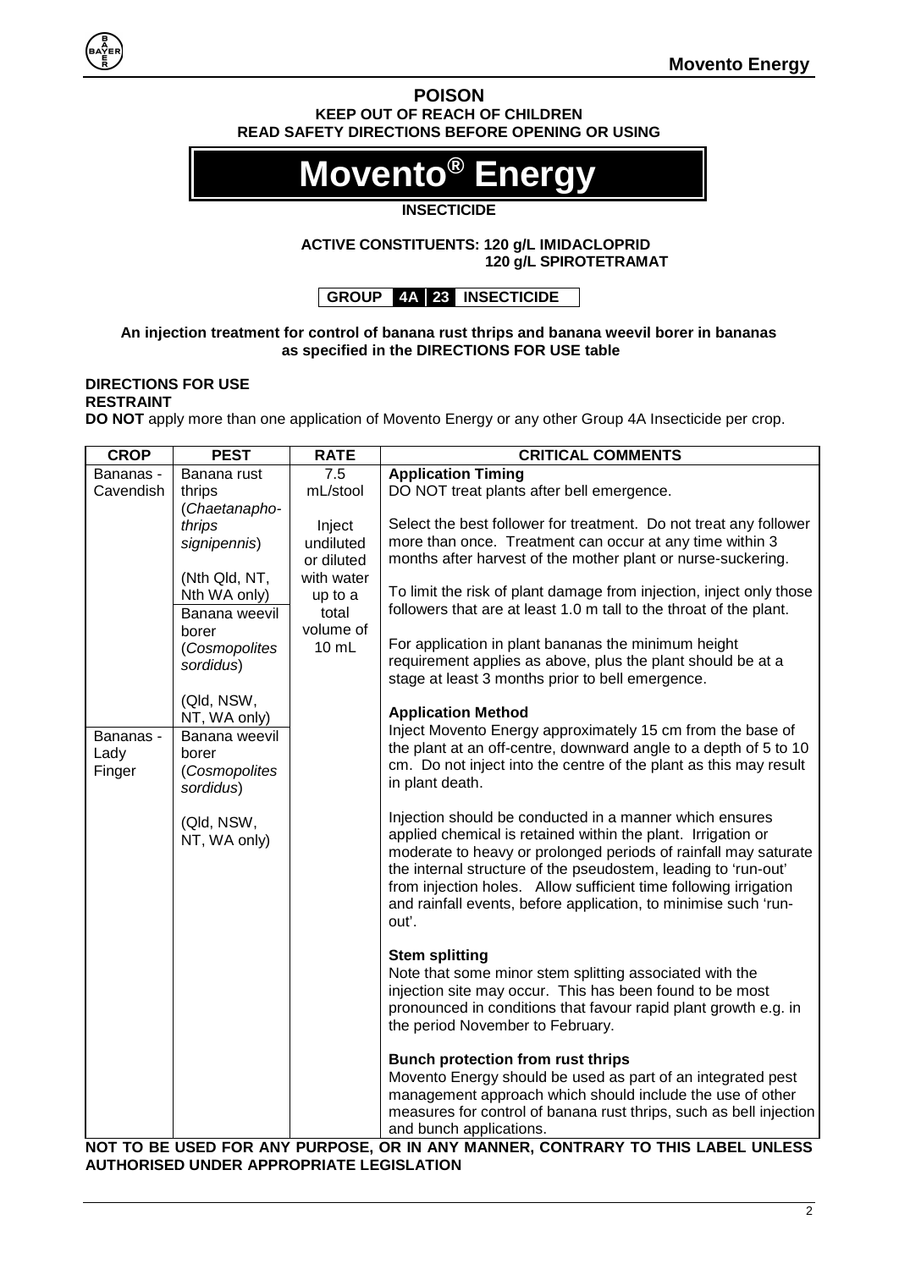#### **POISON KEEP OUT OF REACH OF CHILDREN READ SAFETY DIRECTIONS BEFORE OPENING OR USING**

# **Movento<sup>®</sup> Ener**

#### **INSECTICIDE**

#### **ACTIVE CONSTITUENTS: 120 g/L IMIDACLOPRID 120 g/L SPIROTETRAMAT**

### **GROUP 4A 23 INSECTICIDE**

#### **An injection treatment for control of banana rust thrips and banana weevil borer in bananas as specified in the DIRECTIONS FOR USE table**

#### <span id="page-1-1"></span><span id="page-1-0"></span>**DIRECTIONS FOR USE RESTRAINT**

**DO NOT** apply more than one application of Movento Energy or any other Group 4A Insecticide per crop.

| <b>Application Timing</b><br>7.5<br>Banana rust<br>Bananas -<br>DO NOT treat plants after bell emergence.<br>mL/stool<br>Cavendish<br>thrips<br>(Chaetanapho-<br>Select the best follower for treatment. Do not treat any follower<br>thrips<br>Inject<br>more than once. Treatment can occur at any time within 3<br>undiluted<br>signipennis)<br>months after harvest of the mother plant or nurse-suckering.<br>or diluted<br>with water<br>(Nth Qld, NT,<br>To limit the risk of plant damage from injection, inject only those<br>Nth WA only)<br>up to a<br>followers that are at least 1.0 m tall to the throat of the plant.<br>total<br>Banana weevil<br>volume of<br>borer<br>For application in plant bananas the minimum height<br>$10 \text{ mL}$<br>(Cosmopolites<br>requirement applies as above, plus the plant should be at a<br>sordidus)<br>stage at least 3 months prior to bell emergence.<br>(Qld, NSW,<br><b>Application Method</b><br>NT, WA only)<br>Inject Movento Energy approximately 15 cm from the base of<br>Banana weevil<br>Bananas -<br>the plant at an off-centre, downward angle to a depth of 5 to 10<br>Lady<br>borer<br>cm. Do not inject into the centre of the plant as this may result<br>(Cosmopolites<br>Finger<br>in plant death.<br>sordidus)<br>Injection should be conducted in a manner which ensures<br>(Qld, NSW,<br>applied chemical is retained within the plant. Irrigation or<br>NT, WA only)<br>moderate to heavy or prolonged periods of rainfall may saturate<br>the internal structure of the pseudostem, leading to 'run-out'<br>from injection holes. Allow sufficient time following irrigation<br>and rainfall events, before application, to minimise such 'run-<br>out'.<br><b>Stem splitting</b><br>Note that some minor stem splitting associated with the<br>injection site may occur. This has been found to be most<br>pronounced in conditions that favour rapid plant growth e.g. in<br>the period November to February.<br>Bunch protection from rust thrips<br>Movento Energy should be used as part of an integrated pest<br>management approach which should include the use of other<br>measures for control of banana rust thrips, such as bell injection<br>and bunch applications. | <b>CROP</b> | <b>PEST</b> | <b>RATE</b> | <b>CRITICAL COMMENTS</b> |
|--------------------------------------------------------------------------------------------------------------------------------------------------------------------------------------------------------------------------------------------------------------------------------------------------------------------------------------------------------------------------------------------------------------------------------------------------------------------------------------------------------------------------------------------------------------------------------------------------------------------------------------------------------------------------------------------------------------------------------------------------------------------------------------------------------------------------------------------------------------------------------------------------------------------------------------------------------------------------------------------------------------------------------------------------------------------------------------------------------------------------------------------------------------------------------------------------------------------------------------------------------------------------------------------------------------------------------------------------------------------------------------------------------------------------------------------------------------------------------------------------------------------------------------------------------------------------------------------------------------------------------------------------------------------------------------------------------------------------------------------------------------------------------------------------------------------------------------------------------------------------------------------------------------------------------------------------------------------------------------------------------------------------------------------------------------------------------------------------------------------------------------------------------------------------------------------------------------------------------------------------------------------|-------------|-------------|-------------|--------------------------|
|                                                                                                                                                                                                                                                                                                                                                                                                                                                                                                                                                                                                                                                                                                                                                                                                                                                                                                                                                                                                                                                                                                                                                                                                                                                                                                                                                                                                                                                                                                                                                                                                                                                                                                                                                                                                                                                                                                                                                                                                                                                                                                                                                                                                                                                                    |             |             |             |                          |
|                                                                                                                                                                                                                                                                                                                                                                                                                                                                                                                                                                                                                                                                                                                                                                                                                                                                                                                                                                                                                                                                                                                                                                                                                                                                                                                                                                                                                                                                                                                                                                                                                                                                                                                                                                                                                                                                                                                                                                                                                                                                                                                                                                                                                                                                    |             |             |             |                          |
|                                                                                                                                                                                                                                                                                                                                                                                                                                                                                                                                                                                                                                                                                                                                                                                                                                                                                                                                                                                                                                                                                                                                                                                                                                                                                                                                                                                                                                                                                                                                                                                                                                                                                                                                                                                                                                                                                                                                                                                                                                                                                                                                                                                                                                                                    |             |             |             |                          |
|                                                                                                                                                                                                                                                                                                                                                                                                                                                                                                                                                                                                                                                                                                                                                                                                                                                                                                                                                                                                                                                                                                                                                                                                                                                                                                                                                                                                                                                                                                                                                                                                                                                                                                                                                                                                                                                                                                                                                                                                                                                                                                                                                                                                                                                                    |             |             |             |                          |
|                                                                                                                                                                                                                                                                                                                                                                                                                                                                                                                                                                                                                                                                                                                                                                                                                                                                                                                                                                                                                                                                                                                                                                                                                                                                                                                                                                                                                                                                                                                                                                                                                                                                                                                                                                                                                                                                                                                                                                                                                                                                                                                                                                                                                                                                    |             |             |             |                          |
|                                                                                                                                                                                                                                                                                                                                                                                                                                                                                                                                                                                                                                                                                                                                                                                                                                                                                                                                                                                                                                                                                                                                                                                                                                                                                                                                                                                                                                                                                                                                                                                                                                                                                                                                                                                                                                                                                                                                                                                                                                                                                                                                                                                                                                                                    |             |             |             |                          |
|                                                                                                                                                                                                                                                                                                                                                                                                                                                                                                                                                                                                                                                                                                                                                                                                                                                                                                                                                                                                                                                                                                                                                                                                                                                                                                                                                                                                                                                                                                                                                                                                                                                                                                                                                                                                                                                                                                                                                                                                                                                                                                                                                                                                                                                                    |             |             |             |                          |
|                                                                                                                                                                                                                                                                                                                                                                                                                                                                                                                                                                                                                                                                                                                                                                                                                                                                                                                                                                                                                                                                                                                                                                                                                                                                                                                                                                                                                                                                                                                                                                                                                                                                                                                                                                                                                                                                                                                                                                                                                                                                                                                                                                                                                                                                    |             |             |             |                          |
|                                                                                                                                                                                                                                                                                                                                                                                                                                                                                                                                                                                                                                                                                                                                                                                                                                                                                                                                                                                                                                                                                                                                                                                                                                                                                                                                                                                                                                                                                                                                                                                                                                                                                                                                                                                                                                                                                                                                                                                                                                                                                                                                                                                                                                                                    |             |             |             |                          |
|                                                                                                                                                                                                                                                                                                                                                                                                                                                                                                                                                                                                                                                                                                                                                                                                                                                                                                                                                                                                                                                                                                                                                                                                                                                                                                                                                                                                                                                                                                                                                                                                                                                                                                                                                                                                                                                                                                                                                                                                                                                                                                                                                                                                                                                                    |             |             |             |                          |
|                                                                                                                                                                                                                                                                                                                                                                                                                                                                                                                                                                                                                                                                                                                                                                                                                                                                                                                                                                                                                                                                                                                                                                                                                                                                                                                                                                                                                                                                                                                                                                                                                                                                                                                                                                                                                                                                                                                                                                                                                                                                                                                                                                                                                                                                    |             |             |             |                          |
|                                                                                                                                                                                                                                                                                                                                                                                                                                                                                                                                                                                                                                                                                                                                                                                                                                                                                                                                                                                                                                                                                                                                                                                                                                                                                                                                                                                                                                                                                                                                                                                                                                                                                                                                                                                                                                                                                                                                                                                                                                                                                                                                                                                                                                                                    |             |             |             |                          |
|                                                                                                                                                                                                                                                                                                                                                                                                                                                                                                                                                                                                                                                                                                                                                                                                                                                                                                                                                                                                                                                                                                                                                                                                                                                                                                                                                                                                                                                                                                                                                                                                                                                                                                                                                                                                                                                                                                                                                                                                                                                                                                                                                                                                                                                                    |             |             |             |                          |
|                                                                                                                                                                                                                                                                                                                                                                                                                                                                                                                                                                                                                                                                                                                                                                                                                                                                                                                                                                                                                                                                                                                                                                                                                                                                                                                                                                                                                                                                                                                                                                                                                                                                                                                                                                                                                                                                                                                                                                                                                                                                                                                                                                                                                                                                    |             |             |             |                          |
|                                                                                                                                                                                                                                                                                                                                                                                                                                                                                                                                                                                                                                                                                                                                                                                                                                                                                                                                                                                                                                                                                                                                                                                                                                                                                                                                                                                                                                                                                                                                                                                                                                                                                                                                                                                                                                                                                                                                                                                                                                                                                                                                                                                                                                                                    |             |             |             |                          |
|                                                                                                                                                                                                                                                                                                                                                                                                                                                                                                                                                                                                                                                                                                                                                                                                                                                                                                                                                                                                                                                                                                                                                                                                                                                                                                                                                                                                                                                                                                                                                                                                                                                                                                                                                                                                                                                                                                                                                                                                                                                                                                                                                                                                                                                                    |             |             |             |                          |
|                                                                                                                                                                                                                                                                                                                                                                                                                                                                                                                                                                                                                                                                                                                                                                                                                                                                                                                                                                                                                                                                                                                                                                                                                                                                                                                                                                                                                                                                                                                                                                                                                                                                                                                                                                                                                                                                                                                                                                                                                                                                                                                                                                                                                                                                    |             |             |             |                          |
|                                                                                                                                                                                                                                                                                                                                                                                                                                                                                                                                                                                                                                                                                                                                                                                                                                                                                                                                                                                                                                                                                                                                                                                                                                                                                                                                                                                                                                                                                                                                                                                                                                                                                                                                                                                                                                                                                                                                                                                                                                                                                                                                                                                                                                                                    |             |             |             |                          |
|                                                                                                                                                                                                                                                                                                                                                                                                                                                                                                                                                                                                                                                                                                                                                                                                                                                                                                                                                                                                                                                                                                                                                                                                                                                                                                                                                                                                                                                                                                                                                                                                                                                                                                                                                                                                                                                                                                                                                                                                                                                                                                                                                                                                                                                                    |             |             |             |                          |
|                                                                                                                                                                                                                                                                                                                                                                                                                                                                                                                                                                                                                                                                                                                                                                                                                                                                                                                                                                                                                                                                                                                                                                                                                                                                                                                                                                                                                                                                                                                                                                                                                                                                                                                                                                                                                                                                                                                                                                                                                                                                                                                                                                                                                                                                    |             |             |             |                          |
|                                                                                                                                                                                                                                                                                                                                                                                                                                                                                                                                                                                                                                                                                                                                                                                                                                                                                                                                                                                                                                                                                                                                                                                                                                                                                                                                                                                                                                                                                                                                                                                                                                                                                                                                                                                                                                                                                                                                                                                                                                                                                                                                                                                                                                                                    |             |             |             |                          |
|                                                                                                                                                                                                                                                                                                                                                                                                                                                                                                                                                                                                                                                                                                                                                                                                                                                                                                                                                                                                                                                                                                                                                                                                                                                                                                                                                                                                                                                                                                                                                                                                                                                                                                                                                                                                                                                                                                                                                                                                                                                                                                                                                                                                                                                                    |             |             |             |                          |
|                                                                                                                                                                                                                                                                                                                                                                                                                                                                                                                                                                                                                                                                                                                                                                                                                                                                                                                                                                                                                                                                                                                                                                                                                                                                                                                                                                                                                                                                                                                                                                                                                                                                                                                                                                                                                                                                                                                                                                                                                                                                                                                                                                                                                                                                    |             |             |             |                          |
|                                                                                                                                                                                                                                                                                                                                                                                                                                                                                                                                                                                                                                                                                                                                                                                                                                                                                                                                                                                                                                                                                                                                                                                                                                                                                                                                                                                                                                                                                                                                                                                                                                                                                                                                                                                                                                                                                                                                                                                                                                                                                                                                                                                                                                                                    |             |             |             |                          |
|                                                                                                                                                                                                                                                                                                                                                                                                                                                                                                                                                                                                                                                                                                                                                                                                                                                                                                                                                                                                                                                                                                                                                                                                                                                                                                                                                                                                                                                                                                                                                                                                                                                                                                                                                                                                                                                                                                                                                                                                                                                                                                                                                                                                                                                                    |             |             |             |                          |
|                                                                                                                                                                                                                                                                                                                                                                                                                                                                                                                                                                                                                                                                                                                                                                                                                                                                                                                                                                                                                                                                                                                                                                                                                                                                                                                                                                                                                                                                                                                                                                                                                                                                                                                                                                                                                                                                                                                                                                                                                                                                                                                                                                                                                                                                    |             |             |             |                          |
|                                                                                                                                                                                                                                                                                                                                                                                                                                                                                                                                                                                                                                                                                                                                                                                                                                                                                                                                                                                                                                                                                                                                                                                                                                                                                                                                                                                                                                                                                                                                                                                                                                                                                                                                                                                                                                                                                                                                                                                                                                                                                                                                                                                                                                                                    |             |             |             |                          |
|                                                                                                                                                                                                                                                                                                                                                                                                                                                                                                                                                                                                                                                                                                                                                                                                                                                                                                                                                                                                                                                                                                                                                                                                                                                                                                                                                                                                                                                                                                                                                                                                                                                                                                                                                                                                                                                                                                                                                                                                                                                                                                                                                                                                                                                                    |             |             |             |                          |
|                                                                                                                                                                                                                                                                                                                                                                                                                                                                                                                                                                                                                                                                                                                                                                                                                                                                                                                                                                                                                                                                                                                                                                                                                                                                                                                                                                                                                                                                                                                                                                                                                                                                                                                                                                                                                                                                                                                                                                                                                                                                                                                                                                                                                                                                    |             |             |             |                          |
|                                                                                                                                                                                                                                                                                                                                                                                                                                                                                                                                                                                                                                                                                                                                                                                                                                                                                                                                                                                                                                                                                                                                                                                                                                                                                                                                                                                                                                                                                                                                                                                                                                                                                                                                                                                                                                                                                                                                                                                                                                                                                                                                                                                                                                                                    |             |             |             |                          |
|                                                                                                                                                                                                                                                                                                                                                                                                                                                                                                                                                                                                                                                                                                                                                                                                                                                                                                                                                                                                                                                                                                                                                                                                                                                                                                                                                                                                                                                                                                                                                                                                                                                                                                                                                                                                                                                                                                                                                                                                                                                                                                                                                                                                                                                                    |             |             |             |                          |
|                                                                                                                                                                                                                                                                                                                                                                                                                                                                                                                                                                                                                                                                                                                                                                                                                                                                                                                                                                                                                                                                                                                                                                                                                                                                                                                                                                                                                                                                                                                                                                                                                                                                                                                                                                                                                                                                                                                                                                                                                                                                                                                                                                                                                                                                    |             |             |             |                          |
|                                                                                                                                                                                                                                                                                                                                                                                                                                                                                                                                                                                                                                                                                                                                                                                                                                                                                                                                                                                                                                                                                                                                                                                                                                                                                                                                                                                                                                                                                                                                                                                                                                                                                                                                                                                                                                                                                                                                                                                                                                                                                                                                                                                                                                                                    |             |             |             |                          |
|                                                                                                                                                                                                                                                                                                                                                                                                                                                                                                                                                                                                                                                                                                                                                                                                                                                                                                                                                                                                                                                                                                                                                                                                                                                                                                                                                                                                                                                                                                                                                                                                                                                                                                                                                                                                                                                                                                                                                                                                                                                                                                                                                                                                                                                                    |             |             |             |                          |
|                                                                                                                                                                                                                                                                                                                                                                                                                                                                                                                                                                                                                                                                                                                                                                                                                                                                                                                                                                                                                                                                                                                                                                                                                                                                                                                                                                                                                                                                                                                                                                                                                                                                                                                                                                                                                                                                                                                                                                                                                                                                                                                                                                                                                                                                    |             |             |             |                          |
|                                                                                                                                                                                                                                                                                                                                                                                                                                                                                                                                                                                                                                                                                                                                                                                                                                                                                                                                                                                                                                                                                                                                                                                                                                                                                                                                                                                                                                                                                                                                                                                                                                                                                                                                                                                                                                                                                                                                                                                                                                                                                                                                                                                                                                                                    |             |             |             |                          |
| NOT TO BE HISED EOD ANY BHBBOSE. OR IN ANY MANNED, CONTRADY TO THIS LABEL HNI ESS.                                                                                                                                                                                                                                                                                                                                                                                                                                                                                                                                                                                                                                                                                                                                                                                                                                                                                                                                                                                                                                                                                                                                                                                                                                                                                                                                                                                                                                                                                                                                                                                                                                                                                                                                                                                                                                                                                                                                                                                                                                                                                                                                                                                 |             |             |             |                          |

**NOT TO BE USED FOR ANY PURPOSE, OR IN ANY MANNER, CONTRARY TO THIS LABEL UNLESS AUTHORISED UNDER APPROPRIATE LEGISLATION**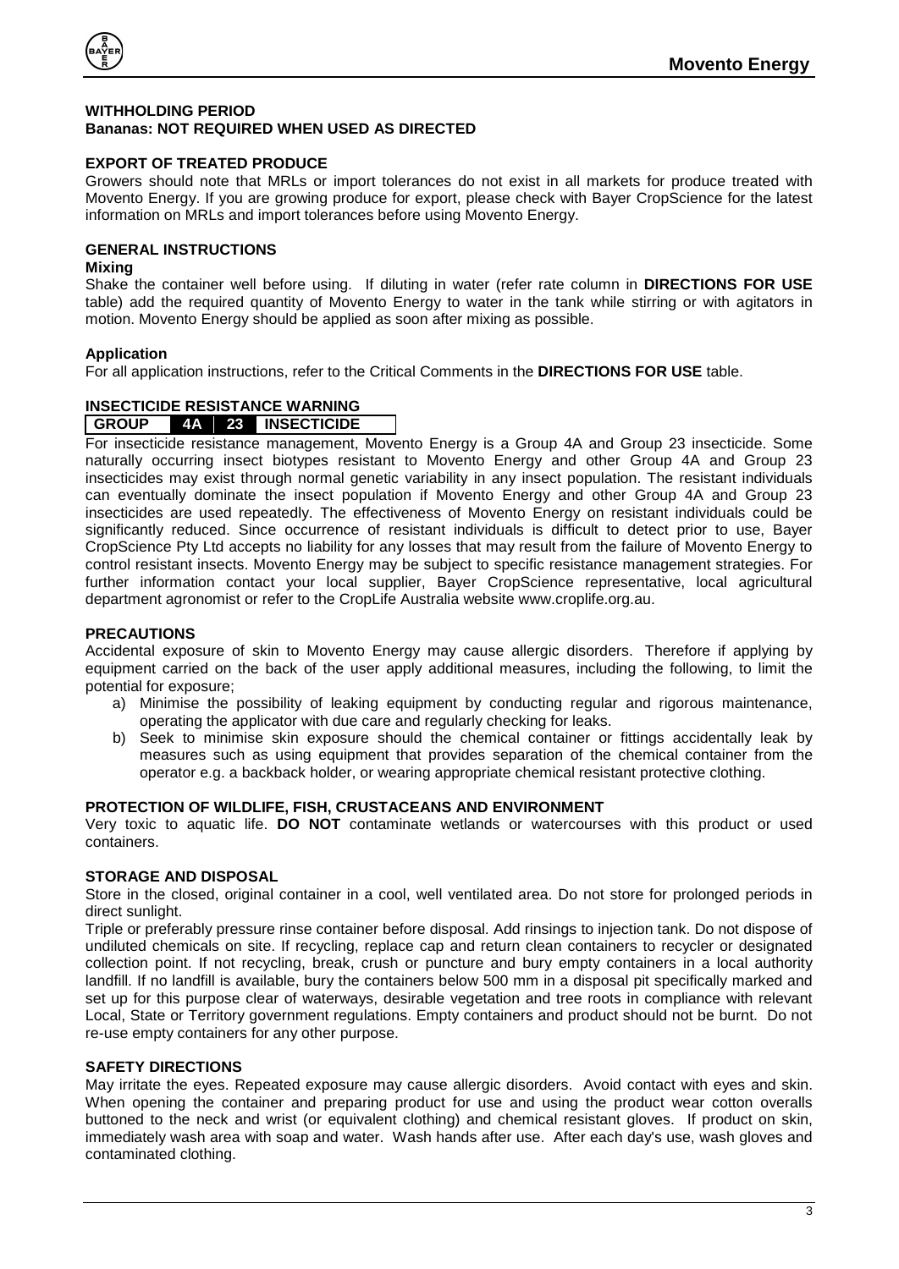

#### <span id="page-2-0"></span>**WITHHOLDING PERIOD Bananas: NOT REQUIRED WHEN USED AS DIRECTED**

#### <span id="page-2-1"></span>**EXPORT OF TREATED PRODUCE**

Growers should note that MRLs or import tolerances do not exist in all markets for produce treated with Movento Energy. If you are growing produce for export, please check with Bayer CropScience for the latest information on MRLs and import tolerances before using Movento Energy.

#### <span id="page-2-2"></span>**GENERAL INSTRUCTIONS**

#### <span id="page-2-3"></span>**Mixing**

Shake the container well before using. If diluting in water (refer rate column in **DIRECTIONS FOR USE** table) add the required quantity of Movento Energy to water in the tank while stirring or with agitators in motion. Movento Energy should be applied as soon after mixing as possible.

#### <span id="page-2-4"></span>**Application**

For all application instructions, refer to the Critical Comments in the **DIRECTIONS FOR USE** table.

# <span id="page-2-5"></span>**INSECTICIDE RESISTANCE WARNING**

#### **GROUP 4A 23 INSECTICIDE**

For insecticide resistance management, Movento Energy is a Group 4A and Group 23 insecticide. Some naturally occurring insect biotypes resistant to Movento Energy and other Group 4A and Group 23 insecticides may exist through normal genetic variability in any insect population. The resistant individuals can eventually dominate the insect population if Movento Energy and other Group 4A and Group 23 insecticides are used repeatedly. The effectiveness of Movento Energy on resistant individuals could be significantly reduced. Since occurrence of resistant individuals is difficult to detect prior to use, Bayer CropScience Pty Ltd accepts no liability for any losses that may result from the failure of Movento Energy to control resistant insects. Movento Energy may be subject to specific resistance management strategies. For further information contact your local supplier, Bayer CropScience representative, local agricultural department agronomist or refer to the CropLife Australia website www.croplife.org.au.

#### <span id="page-2-6"></span>**PRECAUTIONS**

Accidental exposure of skin to Movento Energy may cause allergic disorders. Therefore if applying by equipment carried on the back of the user apply additional measures, including the following, to limit the potential for exposure;

- a) Minimise the possibility of leaking equipment by conducting regular and rigorous maintenance, operating the applicator with due care and regularly checking for leaks.
- b) Seek to minimise skin exposure should the chemical container or fittings accidentally leak by measures such as using equipment that provides separation of the chemical container from the operator e.g. a backback holder, or wearing appropriate chemical resistant protective clothing.

#### <span id="page-2-7"></span>**PROTECTION OF WILDLIFE, FISH, CRUSTACEANS AND ENVIRONMENT**

Very toxic to aquatic life. **DO NOT** contaminate wetlands or watercourses with this product or used containers.

#### <span id="page-2-8"></span>**STORAGE AND DISPOSAL**

Store in the closed, original container in a cool, well ventilated area. Do not store for prolonged periods in direct sunlight.

Triple or preferably pressure rinse container before disposal. Add rinsings to injection tank. Do not dispose of undiluted chemicals on site. If recycling, replace cap and return clean containers to recycler or designated collection point. If not recycling, break, crush or puncture and bury empty containers in a local authority landfill. If no landfill is available, bury the containers below 500 mm in a disposal pit specifically marked and set up for this purpose clear of waterways, desirable vegetation and tree roots in compliance with relevant Local, State or Territory government regulations. Empty containers and product should not be burnt. Do not re-use empty containers for any other purpose.

#### <span id="page-2-9"></span>**SAFETY DIRECTIONS**

May irritate the eyes. Repeated exposure may cause allergic disorders. Avoid contact with eyes and skin. When opening the container and preparing product for use and using the product wear cotton overalls buttoned to the neck and wrist (or equivalent clothing) and chemical resistant gloves. If product on skin, immediately wash area with soap and water. Wash hands after use. After each day's use, wash gloves and contaminated clothing.